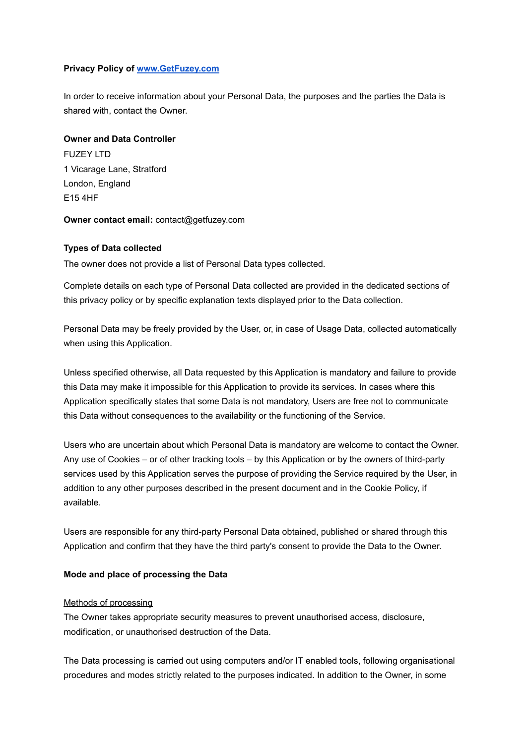### **Privacy Policy of [www.GetFuzey.com](http://www.getfuzey.com)**

In order to receive information about your Personal Data, the purposes and the parties the Data is shared with, contact the Owner.

# **Owner and Data Controller**

**FUZEY LTD** 1 Vicarage Lane, Stratford London, England E15 4HF

#### **Owner contact email:** contact@getfuzey.com

### **Types of Data collected**

The owner does not provide a list of Personal Data types collected.

Complete details on each type of Personal Data collected are provided in the dedicated sections of this privacy policy or by specific explanation texts displayed prior to the Data collection.

Personal Data may be freely provided by the User, or, in case of Usage Data, collected automatically when using this Application.

Unless specified otherwise, all Data requested by this Application is mandatory and failure to provide this Data may make it impossible for this Application to provide its services. In cases where this Application specifically states that some Data is not mandatory, Users are free not to communicate this Data without consequences to the availability or the functioning of the Service.

Users who are uncertain about which Personal Data is mandatory are welcome to contact the Owner. Any use of Cookies – or of other tracking tools – by this Application or by the owners of third-party services used by this Application serves the purpose of providing the Service required by the User, in addition to any other purposes described in the present document and in the Cookie Policy, if available.

Users are responsible for any third-party Personal Data obtained, published or shared through this Application and confirm that they have the third party's consent to provide the Data to the Owner.

#### **Mode and place of processing the Data**

# Methods of processing

The Owner takes appropriate security measures to prevent unauthorised access, disclosure, modification, or unauthorised destruction of the Data.

The Data processing is carried out using computers and/or IT enabled tools, following organisational procedures and modes strictly related to the purposes indicated. In addition to the Owner, in some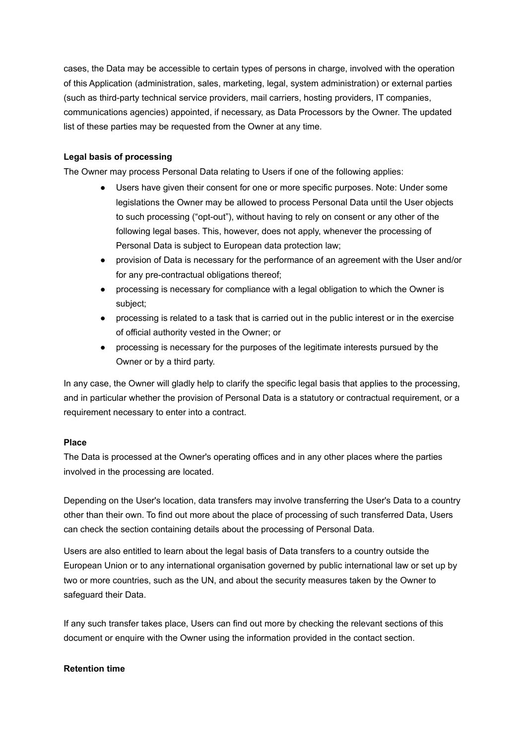cases, the Data may be accessible to certain types of persons in charge, involved with the operation of this Application (administration, sales, marketing, legal, system administration) or external parties (such as third-party technical service providers, mail carriers, hosting providers, IT companies, communications agencies) appointed, if necessary, as Data Processors by the Owner. The updated list of these parties may be requested from the Owner at any time.

### **Legal basis of processing**

The Owner may process Personal Data relating to Users if one of the following applies:

- Users have given their consent for one or more specific purposes. Note: Under some legislations the Owner may be allowed to process Personal Data until the User objects to such processing ("opt-out"), without having to rely on consent or any other of the following legal bases. This, however, does not apply, whenever the processing of Personal Data is subject to European data protection law;
- provision of Data is necessary for the performance of an agreement with the User and/or for any pre-contractual obligations thereof;
- processing is necessary for compliance with a legal obligation to which the Owner is subject;
- processing is related to a task that is carried out in the public interest or in the exercise of official authority vested in the Owner; or
- processing is necessary for the purposes of the legitimate interests pursued by the Owner or by a third party.

In any case, the Owner will gladly help to clarify the specific legal basis that applies to the processing, and in particular whether the provision of Personal Data is a statutory or contractual requirement, or a requirement necessary to enter into a contract.

#### **Place**

The Data is processed at the Owner's operating offices and in any other places where the parties involved in the processing are located.

Depending on the User's location, data transfers may involve transferring the User's Data to a country other than their own. To find out more about the place of processing of such transferred Data, Users can check the section containing details about the processing of Personal Data.

Users are also entitled to learn about the legal basis of Data transfers to a country outside the European Union or to any international organisation governed by public international law or set up by two or more countries, such as the UN, and about the security measures taken by the Owner to safeguard their Data.

If any such transfer takes place, Users can find out more by checking the relevant sections of this document or enquire with the Owner using the information provided in the contact section.

#### **Retention time**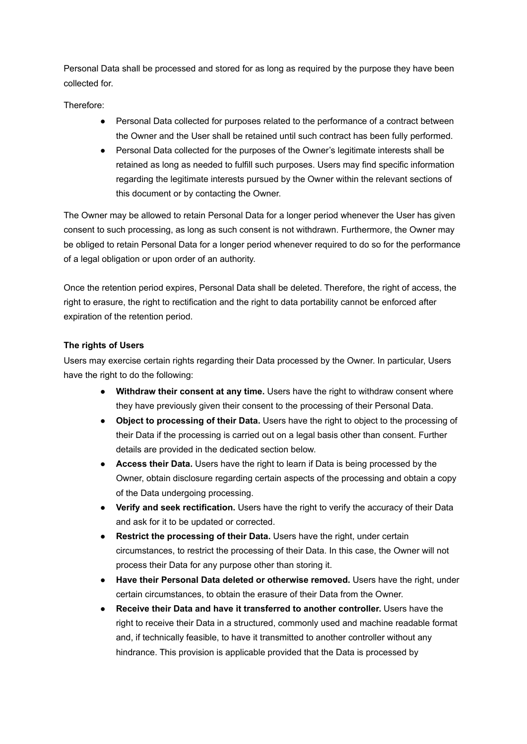Personal Data shall be processed and stored for as long as required by the purpose they have been collected for.

Therefore:

- Personal Data collected for purposes related to the performance of a contract between the Owner and the User shall be retained until such contract has been fully performed.
- Personal Data collected for the purposes of the Owner's legitimate interests shall be retained as long as needed to fulfill such purposes. Users may find specific information regarding the legitimate interests pursued by the Owner within the relevant sections of this document or by contacting the Owner.

The Owner may be allowed to retain Personal Data for a longer period whenever the User has given consent to such processing, as long as such consent is not withdrawn. Furthermore, the Owner may be obliged to retain Personal Data for a longer period whenever required to do so for the performance of a legal obligation or upon order of an authority.

Once the retention period expires, Personal Data shall be deleted. Therefore, the right of access, the right to erasure, the right to rectification and the right to data portability cannot be enforced after expiration of the retention period.

# **The rights of Users**

Users may exercise certain rights regarding their Data processed by the Owner. In particular, Users have the right to do the following:

- **Withdraw their consent at any time.** Users have the right to withdraw consent where they have previously given their consent to the processing of their Personal Data.
- **Object to processing of their Data.** Users have the right to object to the processing of their Data if the processing is carried out on a legal basis other than consent. Further details are provided in the dedicated section below.
- **Access their Data.** Users have the right to learn if Data is being processed by the Owner, obtain disclosure regarding certain aspects of the processing and obtain a copy of the Data undergoing processing.
- **Verify and seek rectification.** Users have the right to verify the accuracy of their Data and ask for it to be updated or corrected.
- **Restrict the processing of their Data.** Users have the right, under certain circumstances, to restrict the processing of their Data. In this case, the Owner will not process their Data for any purpose other than storing it.
- **Have their Personal Data deleted or otherwise removed.** Users have the right, under certain circumstances, to obtain the erasure of their Data from the Owner.
- **Receive their Data and have it transferred to another controller.** Users have the right to receive their Data in a structured, commonly used and machine readable format and, if technically feasible, to have it transmitted to another controller without any hindrance. This provision is applicable provided that the Data is processed by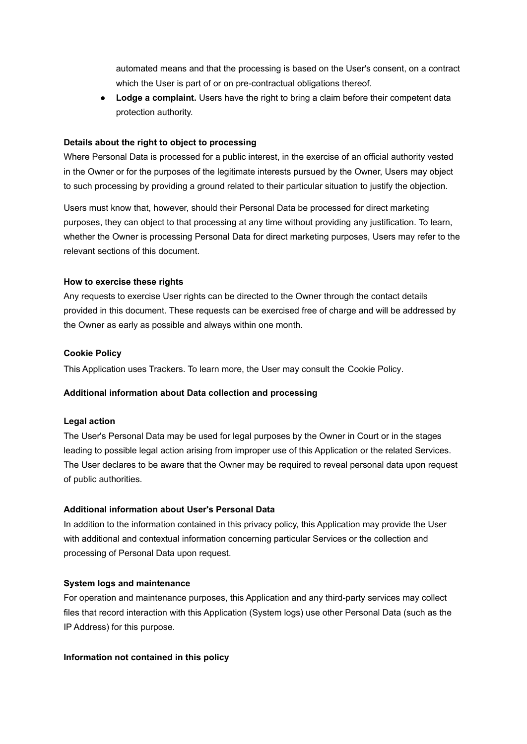automated means and that the processing is based on the User's consent, on a contract which the User is part of or on pre-contractual obligations thereof.

● **Lodge a complaint.** Users have the right to bring a claim before their competent data protection authority.

#### **Details about the right to object to processing**

Where Personal Data is processed for a public interest, in the exercise of an official authority vested in the Owner or for the purposes of the legitimate interests pursued by the Owner, Users may object to such processing by providing a ground related to their particular situation to justify the objection.

Users must know that, however, should their Personal Data be processed for direct marketing purposes, they can object to that processing at any time without providing any justification. To learn, whether the Owner is processing Personal Data for direct marketing purposes, Users may refer to the relevant sections of this document.

#### **How to exercise these rights**

Any requests to exercise User rights can be directed to the Owner through the contact details provided in this document. These requests can be exercised free of charge and will be addressed by the Owner as early as possible and always within one month.

### **Cookie Policy**

This Application uses Trackers. To learn more, the User may consult the [Cookie](https://www.iubenda.com/private/privacy-policy/2016321/cookie-policy?preview=true&ifr=true&height=689&newmarkup=no&an=no) Policy.

#### **Additional information about Data collection and processing**

#### **Legal action**

The User's Personal Data may be used for legal purposes by the Owner in Court or in the stages leading to possible legal action arising from improper use of this Application or the related Services. The User declares to be aware that the Owner may be required to reveal personal data upon request of public authorities.

#### **Additional information about User's Personal Data**

In addition to the information contained in this privacy policy, this Application may provide the User with additional and contextual information concerning particular Services or the collection and processing of Personal Data upon request.

#### **System logs and maintenance**

For operation and maintenance purposes, this Application and any third-party services may collect files that record interaction with this Application (System logs) use other Personal Data (such as the IP Address) for this purpose.

#### **Information not contained in this policy**